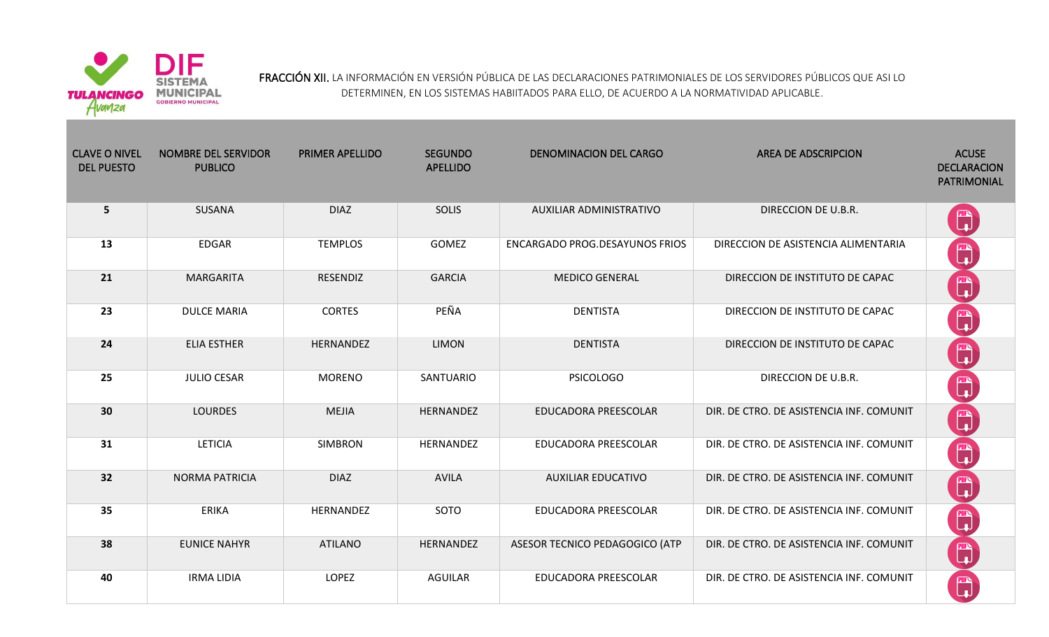

FRACCIÓN XII. LA INFORMACIÓN EN VERSIÓN PÚBLICA DE LAS DECLARACIONES PATRIMONIALES DE LOS SERVIDORES PÚBLICOS QUE ASI LO DETERMINEN, EN LOS SISTEMAS HABIITADOS PARA ELLO, DE ACUERDO A LA NORMATIVIDAD APLICABLE.

| <b>CLAVE O NIVEL</b><br><b>DEL PUESTO</b> | <b>NOMBRE DEL SERVIDOR</b><br><b>PUBLICO</b> | <b>PRIMER APELLIDO</b> | <b>SEGUNDO</b><br><b>APELLIDO</b> | <b>DENOMINACION DEL CARGO</b>         | <b>AREA DE ADSCRIPCION</b>               | <b>ACUSE</b><br><b>DECLARACION</b><br><b>PATRIMONIAL</b> |
|-------------------------------------------|----------------------------------------------|------------------------|-----------------------------------|---------------------------------------|------------------------------------------|----------------------------------------------------------|
| 5                                         | SUSANA                                       | <b>DIAZ</b>            | <b>SOLIS</b>                      | <b>AUXILIAR ADMINISTRATIVO</b>        | DIRECCION DE U.B.R.                      | <sup>m</sup>                                             |
| 13                                        | <b>EDGAR</b>                                 | <b>TEMPLOS</b>         | <b>GOMEZ</b>                      | <b>ENCARGADO PROG.DESAYUNOS FRIOS</b> | DIRECCION DE ASISTENCIA ALIMENTARIA      | $\begin{bmatrix} 1 \\ 1 \end{bmatrix}$                   |
| 21                                        | <b>MARGARITA</b>                             | <b>RESENDIZ</b>        | <b>GARCIA</b>                     | <b>MEDICO GENERAL</b>                 | DIRECCION DE INSTITUTO DE CAPAC          | $\mathbb{C}$                                             |
| 23                                        | <b>DULCE MARIA</b>                           | <b>CORTES</b>          | PEÑA                              | <b>DENTISTA</b>                       | DIRECCION DE INSTITUTO DE CAPAC          | $\mathbb{C}$                                             |
| 24                                        | <b>ELIA ESTHER</b>                           | HERNANDEZ              | <b>LIMON</b>                      | <b>DENTISTA</b>                       | DIRECCION DE INSTITUTO DE CAPAC          | $\mathbb{C}$                                             |
| 25                                        | <b>JULIO CESAR</b>                           | <b>MORENO</b>          | SANTUARIO                         | <b>PSICOLOGO</b>                      | DIRECCION DE U.B.R.                      | $\mathbb{C}$                                             |
| 30                                        | <b>LOURDES</b>                               | <b>MEJIA</b>           | HERNANDEZ                         | EDUCADORA PREESCOLAR                  | DIR. DE CTRO. DE ASISTENCIA INF. COMUNIT | $\mathbb{C}$                                             |
| 31                                        | <b>LETICIA</b>                               | <b>SIMBRON</b>         | HERNANDEZ                         | EDUCADORA PREESCOLAR                  | DIR. DE CTRO. DE ASISTENCIA INF. COMUNIT | <sup>m</sup>                                             |
| 32                                        | <b>NORMA PATRICIA</b>                        | <b>DIAZ</b>            | <b>AVILA</b>                      | <b>AUXILIAR EDUCATIVO</b>             | DIR. DE CTRO. DE ASISTENCIA INF. COMUNIT | $\begin{bmatrix} 1 \\ 1 \end{bmatrix}$                   |
| 35                                        | <b>ERIKA</b>                                 | HERNANDEZ              | SOTO                              | EDUCADORA PREESCOLAR                  | DIR. DE CTRO. DE ASISTENCIA INF. COMUNIT | $\mathbb{C}$                                             |
| 38                                        | <b>EUNICE NAHYR</b>                          | <b>ATILANO</b>         | HERNANDEZ                         | ASESOR TECNICO PEDAGOGICO (ATP        | DIR. DE CTRO. DE ASISTENCIA INF. COMUNIT | $\begin{bmatrix} 1 \\ 1 \end{bmatrix}$                   |
| 40                                        | <b>IRMA LIDIA</b>                            | <b>LOPEZ</b>           | <b>AGUILAR</b>                    | EDUCADORA PREESCOLAR                  | DIR. DE CTRO. DE ASISTENCIA INF. COMUNIT | <b>E</b>                                                 |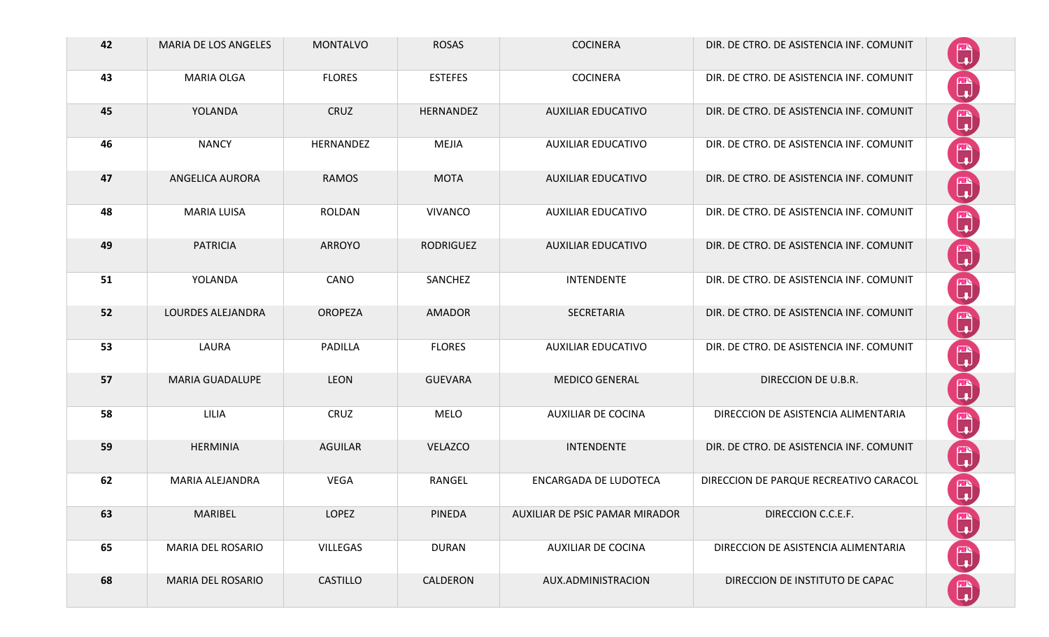| 42 | MARIA DE LOS ANGELES   | <b>MONTALVO</b> | <b>ROSAS</b>     | <b>COCINERA</b>                | DIR. DE CTRO. DE ASISTENCIA INF. COMUNIT | $\mathbb{C}$                                             |
|----|------------------------|-----------------|------------------|--------------------------------|------------------------------------------|----------------------------------------------------------|
| 43 | MARIA OLGA             | <b>FLORES</b>   | <b>ESTEFES</b>   | <b>COCINERA</b>                | DIR. DE CTRO. DE ASISTENCIA INF. COMUNIT | $\begin{bmatrix} \mathbb{R} \ \mathbb{L} \end{bmatrix}$  |
| 45 | YOLANDA                | CRUZ            | HERNANDEZ        | <b>AUXILIAR EDUCATIVO</b>      | DIR. DE CTRO. DE ASISTENCIA INF. COMUNIT | $\mathbb{C}$                                             |
| 46 | <b>NANCY</b>           | HERNANDEZ       | MEJIA            | <b>AUXILIAR EDUCATIVO</b>      | DIR. DE CTRO. DE ASISTENCIA INF. COMUNIT | $\mathbb{C}$                                             |
| 47 | <b>ANGELICA AURORA</b> | <b>RAMOS</b>    | <b>MOTA</b>      | <b>AUXILIAR EDUCATIVO</b>      | DIR. DE CTRO. DE ASISTENCIA INF. COMUNIT | $\mathbb{C}$                                             |
| 48 | <b>MARIA LUISA</b>     | ROLDAN          | <b>VIVANCO</b>   | <b>AUXILIAR EDUCATIVO</b>      | DIR. DE CTRO. DE ASISTENCIA INF. COMUNIT | $\mathbb{C}$                                             |
| 49 | <b>PATRICIA</b>        | <b>ARROYO</b>   | <b>RODRIGUEZ</b> | <b>AUXILIAR EDUCATIVO</b>      | DIR. DE CTRO. DE ASISTENCIA INF. COMUNIT | $\begin{bmatrix} 1 \\ 1 \end{bmatrix}$                   |
| 51 | YOLANDA                | CANO            | SANCHEZ          | <b>INTENDENTE</b>              | DIR. DE CTRO. DE ASISTENCIA INF. COMUNIT | $\mathbb{C}$                                             |
| 52 | LOURDES ALEJANDRA      | <b>OROPEZA</b>  | <b>AMADOR</b>    | SECRETARIA                     | DIR. DE CTRO. DE ASISTENCIA INF. COMUNIT | $\mathbb{C}$                                             |
| 53 | LAURA                  | PADILLA         | <b>FLORES</b>    | <b>AUXILIAR EDUCATIVO</b>      | DIR. DE CTRO. DE ASISTENCIA INF. COMUNIT | $\begin{bmatrix} 1 \\ 1 \end{bmatrix}$                   |
| 57 | <b>MARIA GUADALUPE</b> | <b>LEON</b>     | <b>GUEVARA</b>   | <b>MEDICO GENERAL</b>          | DIRECCION DE U.B.R.                      | $\begin{bmatrix} 1 \\ 1 \end{bmatrix}$                   |
| 58 | LILIA                  | CRUZ            | <b>MELO</b>      | <b>AUXILIAR DE COCINA</b>      | DIRECCION DE ASISTENCIA ALIMENTARIA      | $\begin{bmatrix} \mathbf{m} \\ \mathbf{u} \end{bmatrix}$ |
| 59 | <b>HERMINIA</b>        | <b>AGUILAR</b>  | <b>VELAZCO</b>   | <b>INTENDENTE</b>              | DIR. DE CTRO. DE ASISTENCIA INF. COMUNIT | $\mathbb{C}$                                             |
| 62 | MARIA ALEJANDRA        | <b>VEGA</b>     | <b>RANGEL</b>    | ENCARGADA DE LUDOTECA          | DIRECCION DE PARQUE RECREATIVO CARACOL   | Q                                                        |
| 63 | MARIBEL                | <b>LOPEZ</b>    | PINEDA           | AUXILIAR DE PSIC PAMAR MIRADOR | DIRECCION C.C.E.F.                       | $\mathbb{C}$                                             |
| 65 | MARIA DEL ROSARIO      | <b>VILLEGAS</b> | <b>DURAN</b>     | <b>AUXILIAR DE COCINA</b>      | DIRECCION DE ASISTENCIA ALIMENTARIA      | $\mathbb{C}$                                             |
| 68 | MARIA DEL ROSARIO      | <b>CASTILLO</b> | CALDERON         | AUX.ADMINISTRACION             | DIRECCION DE INSTITUTO DE CAPAC          |                                                          |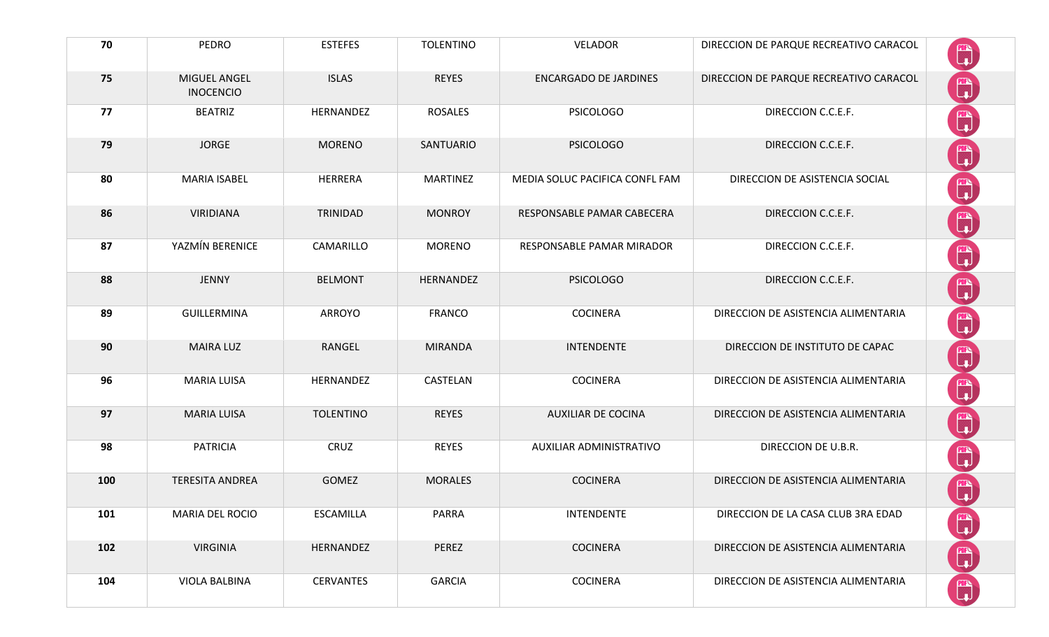| 70  | <b>PEDRO</b>                     | <b>ESTEFES</b>   | <b>TOLENTINO</b> | <b>VELADOR</b>                 | DIRECCION DE PARQUE RECREATIVO CARACOL | $\mathbb{C}$                                             |
|-----|----------------------------------|------------------|------------------|--------------------------------|----------------------------------------|----------------------------------------------------------|
| 75  | MIGUEL ANGEL<br><b>INOCENCIO</b> | <b>ISLAS</b>     | <b>REYES</b>     | <b>ENCARGADO DE JARDINES</b>   | DIRECCION DE PARQUE RECREATIVO CARACOL | $\mathbb{C}$                                             |
| 77  | <b>BEATRIZ</b>                   | HERNANDEZ        | <b>ROSALES</b>   | <b>PSICOLOGO</b>               | DIRECCION C.C.E.F.                     | <sup>m</sup>                                             |
| 79  | <b>JORGE</b>                     | <b>MORENO</b>    | SANTUARIO        | <b>PSICOLOGO</b>               | DIRECCION C.C.E.F.                     | $\begin{bmatrix} \mathbb{R} \\ \mathbb{R} \end{bmatrix}$ |
| 80  | <b>MARIA ISABEL</b>              | HERRERA          | <b>MARTINEZ</b>  | MEDIA SOLUC PACIFICA CONFL FAM | DIRECCION DE ASISTENCIA SOCIAL         | <sup>m</sup>                                             |
| 86  | <b>VIRIDIANA</b>                 | TRINIDAD         | <b>MONROY</b>    | RESPONSABLE PAMAR CABECERA     | DIRECCION C.C.E.F.                     | $\begin{bmatrix} \mathbb{R} \\ \mathbb{R} \end{bmatrix}$ |
| 87  | YAZMÍN BERENICE                  | CAMARILLO        | <b>MORENO</b>    | RESPONSABLE PAMAR MIRADOR      | DIRECCION C.C.E.F.                     | $\mathbb{C}$                                             |
| 88  | <b>JENNY</b>                     | <b>BELMONT</b>   | HERNANDEZ        | <b>PSICOLOGO</b>               | DIRECCION C.C.E.F.                     | $\mathbb{C}$                                             |
| 89  | GUILLERMINA                      | <b>ARROYO</b>    | <b>FRANCO</b>    | <b>COCINERA</b>                | DIRECCION DE ASISTENCIA ALIMENTARIA    | $\mathbb{C}$                                             |
| 90  | <b>MAIRA LUZ</b>                 | RANGEL           | <b>MIRANDA</b>   | <b>INTENDENTE</b>              | DIRECCION DE INSTITUTO DE CAPAC        | $\mathbb{C}$                                             |
| 96  | <b>MARIA LUISA</b>               | HERNANDEZ        | CASTELAN         | <b>COCINERA</b>                | DIRECCION DE ASISTENCIA ALIMENTARIA    | $\mathbb{C}$                                             |
| 97  | <b>MARIA LUISA</b>               | <b>TOLENTINO</b> | <b>REYES</b>     | <b>AUXILIAR DE COCINA</b>      | DIRECCION DE ASISTENCIA ALIMENTARIA    | $\mathbb{C}$                                             |
| 98  | <b>PATRICIA</b>                  | CRUZ             | <b>REYES</b>     | AUXILIAR ADMINISTRATIVO        | DIRECCION DE U.B.R.                    | H                                                        |
| 100 | <b>TERESITA ANDREA</b>           | <b>GOMEZ</b>     | <b>MORALES</b>   | <b>COCINERA</b>                | DIRECCION DE ASISTENCIA ALIMENTARIA    |                                                          |
| 101 | MARIA DEL ROCIO                  | <b>ESCAMILLA</b> | PARRA            | <b>INTENDENTE</b>              | DIRECCION DE LA CASA CLUB 3RA EDAD     | $\mathbb{C}$                                             |
| 102 | <b>VIRGINIA</b>                  | HERNANDEZ        | PEREZ            | <b>COCINERA</b>                | DIRECCION DE ASISTENCIA ALIMENTARIA    | $\mathbb{C}$                                             |
| 104 | VIOLA BALBINA                    | <b>CERVANTES</b> | <b>GARCIA</b>    | <b>COCINERA</b>                | DIRECCION DE ASISTENCIA ALIMENTARIA    | Ü                                                        |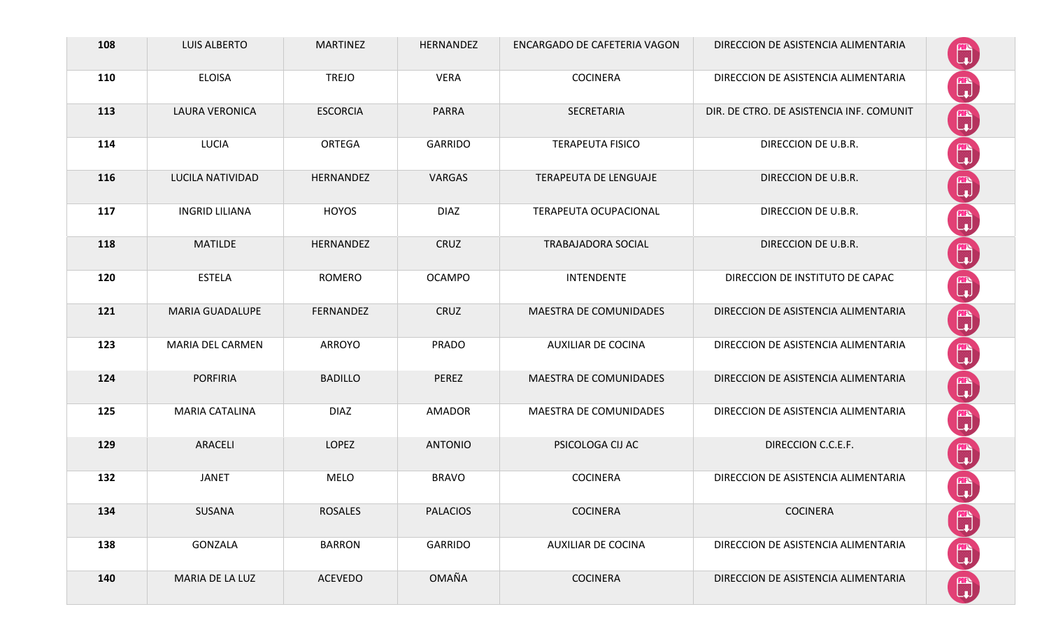| 108 | <b>LUIS ALBERTO</b>    | <b>MARTINEZ</b> | HERNANDEZ       | ENCARGADO DE CAFETERIA VAGON  | DIRECCION DE ASISTENCIA ALIMENTARIA      |                                                                                                                                                                                                                                                                                                                                                     |
|-----|------------------------|-----------------|-----------------|-------------------------------|------------------------------------------|-----------------------------------------------------------------------------------------------------------------------------------------------------------------------------------------------------------------------------------------------------------------------------------------------------------------------------------------------------|
| 110 | <b>ELOISA</b>          | <b>TREJO</b>    | <b>VERA</b>     | <b>COCINERA</b>               | DIRECCION DE ASISTENCIA ALIMENTARIA      | $\begin{bmatrix} 1 \\ 1 \end{bmatrix}$                                                                                                                                                                                                                                                                                                              |
| 113 | <b>LAURA VERONICA</b>  | <b>ESCORCIA</b> | <b>PARRA</b>    | SECRETARIA                    | DIR. DE CTRO. DE ASISTENCIA INF. COMUNIT | $\begin{bmatrix} 1 \\ 1 \end{bmatrix}$                                                                                                                                                                                                                                                                                                              |
| 114 | <b>LUCIA</b>           | ORTEGA          | GARRIDO         | <b>TERAPEUTA FISICO</b>       | DIRECCION DE U.B.R.                      | $\mathbb{C}$                                                                                                                                                                                                                                                                                                                                        |
| 116 | LUCILA NATIVIDAD       | HERNANDEZ       | VARGAS          | TERAPEUTA DE LENGUAJE         | DIRECCION DE U.B.R.                      | $\begin{bmatrix} 1 \\ 1 \end{bmatrix}$                                                                                                                                                                                                                                                                                                              |
| 117 | <b>INGRID LILIANA</b>  | <b>HOYOS</b>    | <b>DIAZ</b>     | <b>TERAPEUTA OCUPACIONAL</b>  | DIRECCION DE U.B.R.                      | $\begin{bmatrix} 1 \\ 1 \end{bmatrix}$                                                                                                                                                                                                                                                                                                              |
| 118 | <b>MATILDE</b>         | HERNANDEZ       | CRUZ            | <b>TRABAJADORA SOCIAL</b>     | DIRECCION DE U.B.R.                      | $\begin{pmatrix} 1 & 0 \\ 0 & 1 \end{pmatrix}$                                                                                                                                                                                                                                                                                                      |
| 120 | <b>ESTELA</b>          | ROMERO          | <b>OCAMPO</b>   | <b>INTENDENTE</b>             | DIRECCION DE INSTITUTO DE CAPAC          | $\begin{bmatrix} 1 \\ 1 \end{bmatrix}$                                                                                                                                                                                                                                                                                                              |
| 121 | <b>MARIA GUADALUPE</b> | FERNANDEZ       | CRUZ            | <b>MAESTRA DE COMUNIDADES</b> | DIRECCION DE ASISTENCIA ALIMENTARIA      | $\begin{bmatrix} \mathbb{R} \\ \mathbb{R} \end{bmatrix}$                                                                                                                                                                                                                                                                                            |
| 123 | MARIA DEL CARMEN       | <b>ARROYO</b>   | <b>PRADO</b>    | <b>AUXILIAR DE COCINA</b>     | DIRECCION DE ASISTENCIA ALIMENTARIA      | $\begin{pmatrix} m \\ l \end{pmatrix}$                                                                                                                                                                                                                                                                                                              |
| 124 | <b>PORFIRIA</b>        | <b>BADILLO</b>  | PEREZ           | MAESTRA DE COMUNIDADES        | DIRECCION DE ASISTENCIA ALIMENTARIA      | $\mathbb{C}$                                                                                                                                                                                                                                                                                                                                        |
| 125 | <b>MARIA CATALINA</b>  | <b>DIAZ</b>     | <b>AMADOR</b>   | MAESTRA DE COMUNIDADES        | DIRECCION DE ASISTENCIA ALIMENTARIA      | $\mathbb{C}$                                                                                                                                                                                                                                                                                                                                        |
| 129 | ARACELI                | LOPEZ           | <b>ANTONIO</b>  | PSICOLOGA CIJ AC              | DIRECCION C.C.E.F.                       | $\mathbb{C}$                                                                                                                                                                                                                                                                                                                                        |
| 132 | <b>JANET</b>           | <b>MELO</b>     | <b>BRAVO</b>    | <b>COCINERA</b>               | DIRECCION DE ASISTENCIA ALIMENTARIA      | $\mathbb{C}$                                                                                                                                                                                                                                                                                                                                        |
| 134 | SUSANA                 | <b>ROSALES</b>  | <b>PALACIOS</b> | <b>COCINERA</b>               | <b>COCINERA</b>                          |                                                                                                                                                                                                                                                                                                                                                     |
| 138 | GONZALA                | <b>BARRON</b>   | <b>GARRIDO</b>  | <b>AUXILIAR DE COCINA</b>     | DIRECCION DE ASISTENCIA ALIMENTARIA      | $\begin{picture}(42,10) \put(0,0){\line(1,0){10}} \put(15,0){\line(1,0){10}} \put(15,0){\line(1,0){10}} \put(15,0){\line(1,0){10}} \put(15,0){\line(1,0){10}} \put(15,0){\line(1,0){10}} \put(15,0){\line(1,0){10}} \put(15,0){\line(1,0){10}} \put(15,0){\line(1,0){10}} \put(15,0){\line(1,0){10}} \put(15,0){\line(1,0){10}} \put(15,0){\line(1$ |
| 140 | MARIA DE LA LUZ        | <b>ACEVEDO</b>  | <b>OMAÑA</b>    | <b>COCINERA</b>               | DIRECCION DE ASISTENCIA ALIMENTARIA      | H)                                                                                                                                                                                                                                                                                                                                                  |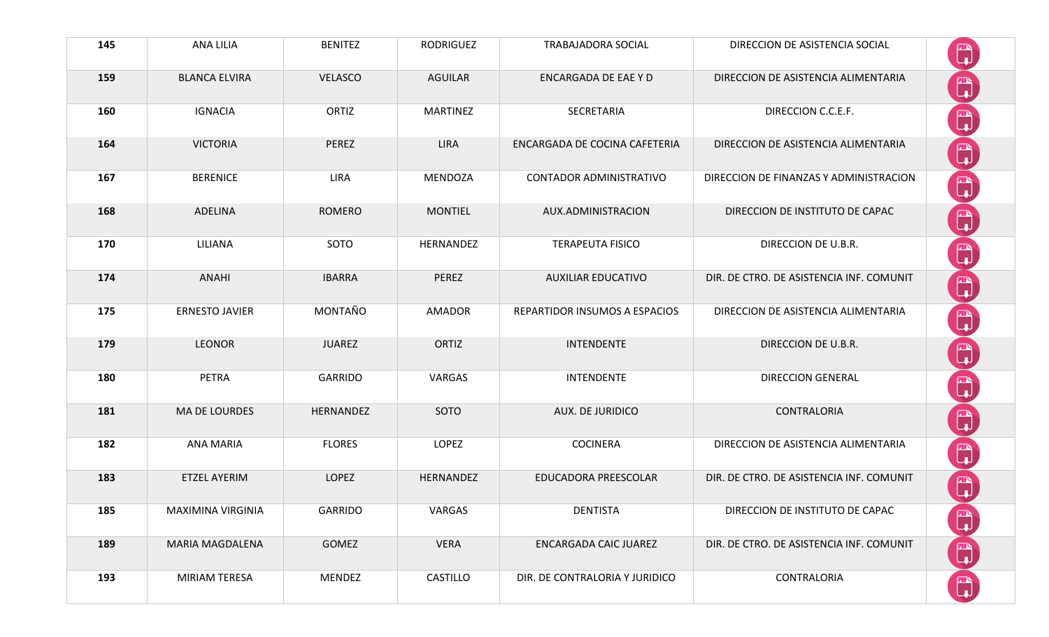| 145 | ANA LILIA              | <b>BENITEZ</b> | <b>RODRIGUEZ</b> | <b>TRABAJADORA SOCIAL</b>      | DIRECCION DE ASISTENCIA SOCIAL           | $\mathbb{C}$                                             |
|-----|------------------------|----------------|------------------|--------------------------------|------------------------------------------|----------------------------------------------------------|
| 159 | <b>BLANCA ELVIRA</b>   | <b>VELASCO</b> | <b>AGUILAR</b>   | <b>ENCARGADA DE EAE Y D</b>    | DIRECCION DE ASISTENCIA ALIMENTARIA      | $\mathbb{C}$                                             |
| 160 | <b>IGNACIA</b>         | ORTIZ          | <b>MARTINEZ</b>  | SECRETARIA                     | DIRECCION C.C.E.F.                       | $\begin{matrix} \mathbb{Z} \\ \mathbb{Z} \end{matrix}$   |
| 164 | <b>VICTORIA</b>        | PEREZ          | <b>LIRA</b>      | ENCARGADA DE COCINA CAFETERIA  | DIRECCION DE ASISTENCIA ALIMENTARIA      | $\begin{bmatrix} \mathbf{m} \\ \mathbf{u} \end{bmatrix}$ |
| 167 | <b>BERENICE</b>        | <b>LIRA</b>    | <b>MENDOZA</b>   | <b>CONTADOR ADMINISTRATIVO</b> | DIRECCION DE FINANZAS Y ADMINISTRACION   | $\mathbb{C}$                                             |
| 168 | ADELINA                | <b>ROMERO</b>  | <b>MONTIEL</b>   | AUX.ADMINISTRACION             | DIRECCION DE INSTITUTO DE CAPAC          | $\mathbb{C}$                                             |
| 170 | LILIANA                | SOTO           | HERNANDEZ        | <b>TERAPEUTA FISICO</b>        | DIRECCION DE U.B.R.                      | $\begin{bmatrix} 1 \\ 1 \end{bmatrix}$                   |
| 174 | <b>ANAHI</b>           | <b>IBARRA</b>  | PEREZ            | <b>AUXILIAR EDUCATIVO</b>      | DIR. DE CTRO. DE ASISTENCIA INF. COMUNIT | $\mathbb{C}$                                             |
| 175 | <b>ERNESTO JAVIER</b>  | MONTAÑO        | <b>AMADOR</b>    | REPARTIDOR INSUMOS A ESPACIOS  | DIRECCION DE ASISTENCIA ALIMENTARIA      | $\begin{matrix} \mathbb{Z} \\ \mathbb{Z} \end{matrix}$   |
| 179 | <b>LEONOR</b>          | <b>JUAREZ</b>  | ORTIZ            | <b>INTENDENTE</b>              | DIRECCION DE U.B.R.                      | $\begin{bmatrix} \mathbb{Z} \\ \mathbb{Z} \end{bmatrix}$ |
| 180 | PETRA                  | <b>GARRIDO</b> | VARGAS           | <b>INTENDENTE</b>              | <b>DIRECCION GENERAL</b>                 | $\begin{bmatrix} 1 \\ 1 \end{bmatrix}$                   |
| 181 | MA DE LOURDES          | HERNANDEZ      | SOTO             | <b>AUX. DE JURIDICO</b>        | CONTRALORIA                              | $\mathbb{C}$                                             |
| 182 | <b>ANA MARIA</b>       | <b>FLORES</b>  | <b>LOPEZ</b>     | <b>COCINERA</b>                | DIRECCION DE ASISTENCIA ALIMENTARIA      | <sup>m</sup>                                             |
| 183 | <b>ETZEL AYERIM</b>    | <b>LOPEZ</b>   | HERNANDEZ        | EDUCADORA PREESCOLAR           | DIR. DE CTRO. DE ASISTENCIA INF. COMUNIT | $\begin{bmatrix} m \\ 1 \end{bmatrix}$                   |
| 185 | MAXIMINA VIRGINIA      | <b>GARRIDO</b> | VARGAS           | <b>DENTISTA</b>                | DIRECCION DE INSTITUTO DE CAPAC          | $\begin{matrix} 1 \\ 1 \end{matrix}$                     |
| 189 | <b>MARIA MAGDALENA</b> | GOMEZ          | <b>VERA</b>      | <b>ENCARGADA CAIC JUAREZ</b>   | DIR. DE CTRO. DE ASISTENCIA INF. COMUNIT | $\begin{pmatrix} m \\ v \end{pmatrix}$                   |
| 193 | MIRIAM TERESA          | <b>MENDEZ</b>  | CASTILLO         | DIR. DE CONTRALORIA Y JURIDICO | CONTRALORIA                              |                                                          |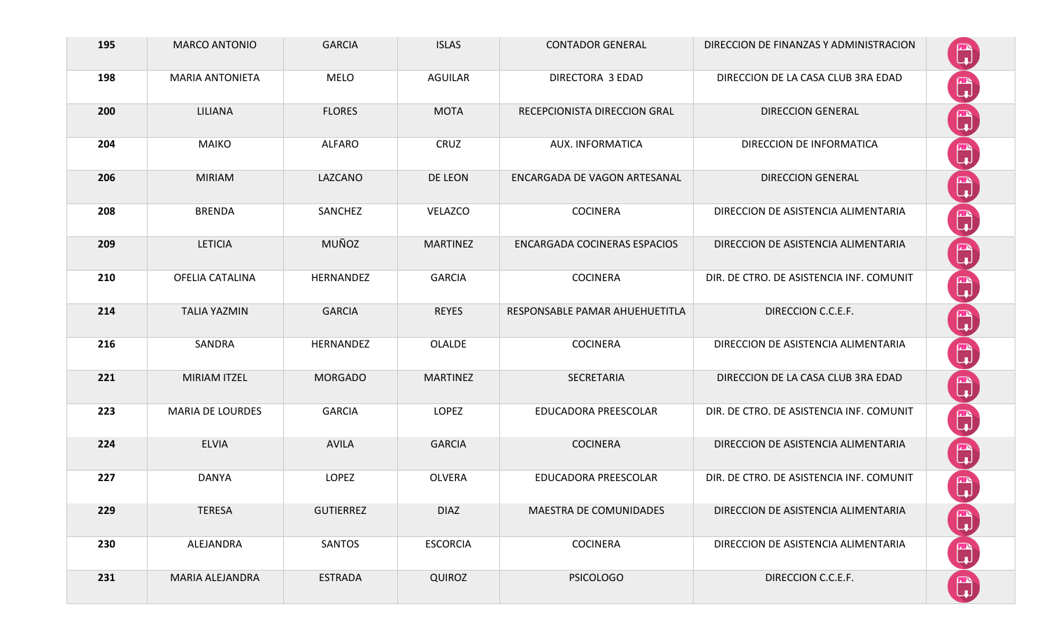| 195 | <b>MARCO ANTONIO</b>    | <b>GARCIA</b>    | <b>ISLAS</b>    | <b>CONTADOR GENERAL</b>        | DIRECCION DE FINANZAS Y ADMINISTRACION   | <b>FITS</b><br>لها                                       |
|-----|-------------------------|------------------|-----------------|--------------------------------|------------------------------------------|----------------------------------------------------------|
| 198 | <b>MARIA ANTONIETA</b>  | <b>MELO</b>      | <b>AGUILAR</b>  | DIRECTORA 3 EDAD               | DIRECCION DE LA CASA CLUB 3RA EDAD       | $\begin{bmatrix} \mathbf{m} \\ \mathbf{m} \end{bmatrix}$ |
| 200 | <b>LILIANA</b>          | <b>FLORES</b>    | <b>MOTA</b>     | RECEPCIONISTA DIRECCION GRAL   | <b>DIRECCION GENERAL</b>                 | $\mathbb{C}$                                             |
| 204 | <b>MAIKO</b>            | <b>ALFARO</b>    | CRUZ            | AUX. INFORMATICA               | DIRECCION DE INFORMATICA                 | $\mathbb{C}$                                             |
| 206 | <b>MIRIAM</b>           | LAZCANO          | DE LEON         | ENCARGADA DE VAGON ARTESANAL   | <b>DIRECCION GENERAL</b>                 | $\mathbb{C}$                                             |
| 208 | <b>BRENDA</b>           | SANCHEZ          | VELAZCO         | <b>COCINERA</b>                | DIRECCION DE ASISTENCIA ALIMENTARIA      | <sup>m</sup>                                             |
| 209 | <b>LETICIA</b>          | MUÑOZ            | <b>MARTINEZ</b> | ENCARGADA COCINERAS ESPACIOS   | DIRECCION DE ASISTENCIA ALIMENTARIA      | $\begin{bmatrix} 1 \\ 1 \end{bmatrix}$                   |
| 210 | OFELIA CATALINA         | HERNANDEZ        | <b>GARCIA</b>   | <b>COCINERA</b>                | DIR. DE CTRO. DE ASISTENCIA INF. COMUNIT | $\begin{bmatrix} \mathbf{m} \\ \mathbf{m} \end{bmatrix}$ |
| 214 | <b>TALIA YAZMIN</b>     | <b>GARCIA</b>    | <b>REYES</b>    | RESPONSABLE PAMAR AHUEHUETITLA | DIRECCION C.C.E.F.                       | $\begin{bmatrix} 1 \\ 1 \end{bmatrix}$                   |
| 216 | SANDRA                  | HERNANDEZ        | <b>OLALDE</b>   | <b>COCINERA</b>                | DIRECCION DE ASISTENCIA ALIMENTARIA      | $\begin{bmatrix} 1 \\ 1 \end{bmatrix}$                   |
| 221 | <b>MIRIAM ITZEL</b>     | <b>MORGADO</b>   | <b>MARTINEZ</b> | SECRETARIA                     | DIRECCION DE LA CASA CLUB 3RA EDAD       | $\begin{bmatrix} 1 \\ 1 \end{bmatrix}$                   |
| 223 | <b>MARIA DE LOURDES</b> | <b>GARCIA</b>    | <b>LOPEZ</b>    | EDUCADORA PREESCOLAR           | DIR. DE CTRO. DE ASISTENCIA INF. COMUNIT | <b>E</b>                                                 |
| 224 | <b>ELVIA</b>            | <b>AVILA</b>     | <b>GARCIA</b>   | <b>COCINERA</b>                | DIRECCION DE ASISTENCIA ALIMENTARIA      | $\mathbb{C}$                                             |
| 227 | <b>DANYA</b>            | <b>LOPEZ</b>     | <b>OLVERA</b>   | EDUCADORA PREESCOLAR           | DIR. DE CTRO. DE ASISTENCIA INF. COMUNIT | $\mathbb{R}$                                             |
| 229 | <b>TERESA</b>           | <b>GUTIERREZ</b> | <b>DIAZ</b>     | MAESTRA DE COMUNIDADES         | DIRECCION DE ASISTENCIA ALIMENTARIA      | <b>E</b>                                                 |
| 230 | ALEJANDRA               | SANTOS           | <b>ESCORCIA</b> | <b>COCINERA</b>                | DIRECCION DE ASISTENCIA ALIMENTARIA      | ■                                                        |
| 231 | MARIA ALEJANDRA         | <b>ESTRADA</b>   | <b>QUIROZ</b>   | <b>PSICOLOGO</b>               | DIRECCION C.C.E.F.                       | 鬥                                                        |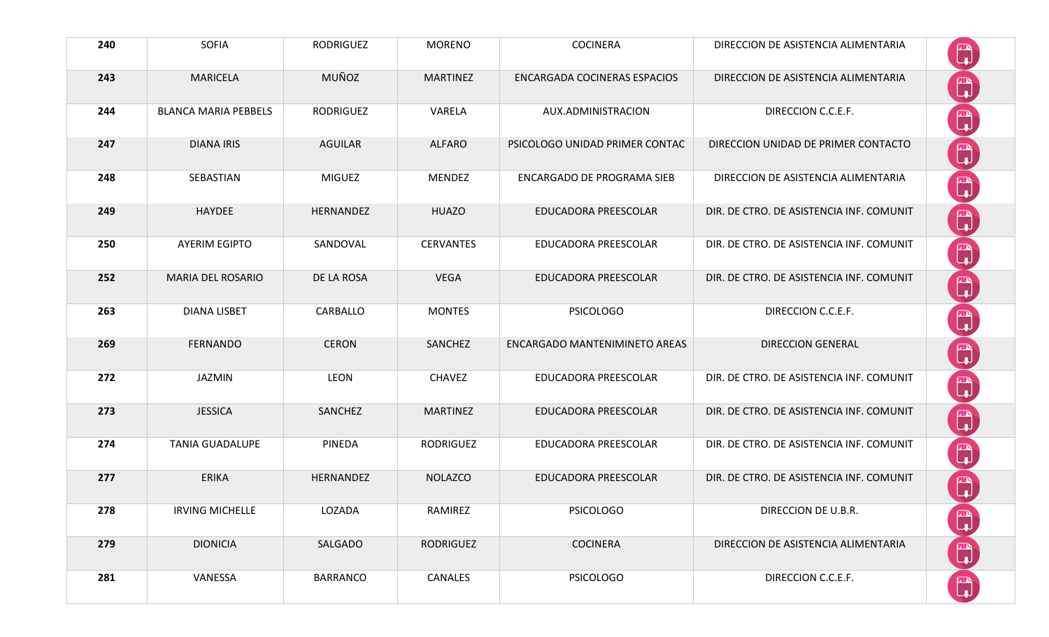| 240 | <b>SOFIA</b>                | <b>RODRIGUEZ</b> | <b>MORENO</b>    | <b>COCINERA</b>                     | DIRECCION DE ASISTENCIA ALIMENTARIA      |                                                                    |
|-----|-----------------------------|------------------|------------------|-------------------------------------|------------------------------------------|--------------------------------------------------------------------|
| 243 | <b>MARICELA</b>             | MUÑOZ            | <b>MARTINEZ</b>  | <b>ENCARGADA COCINERAS ESPACIOS</b> | DIRECCION DE ASISTENCIA ALIMENTARIA      | $\begin{bmatrix} 1 \\ 1 \end{bmatrix}$                             |
| 244 | <b>BLANCA MARIA PEBBELS</b> | <b>RODRIGUEZ</b> | VARELA           | AUX.ADMINISTRACION                  | DIRECCION C.C.E.F.                       | 鹛                                                                  |
| 247 | <b>DIANA IRIS</b>           | <b>AGUILAR</b>   | <b>ALFARO</b>    | PSICOLOGO UNIDAD PRIMER CONTAC      | DIRECCION UNIDAD DE PRIMER CONTACTO      | $\mathbb{C}$                                                       |
| 248 | SEBASTIAN                   | <b>MIGUEZ</b>    | <b>MENDEZ</b>    | <b>ENCARGADO DE PROGRAMA SIEB</b>   | DIRECCION DE ASISTENCIA ALIMENTARIA      | $\begin{bmatrix} \mathbb{R} \\ \mathbb{I} \end{bmatrix}$           |
| 249 | <b>HAYDEE</b>               | HERNANDEZ        | <b>HUAZO</b>     | EDUCADORA PREESCOLAR                | DIR. DE CTRO. DE ASISTENCIA INF. COMUNIT | ▓                                                                  |
| 250 | <b>AYERIM EGIPTO</b>        | SANDOVAL         | <b>CERVANTES</b> | EDUCADORA PREESCOLAR                | DIR. DE CTRO. DE ASISTENCIA INF. COMUNIT | Q                                                                  |
| 252 | MARIA DEL ROSARIO           | DE LA ROSA       | <b>VEGA</b>      | EDUCADORA PREESCOLAR                | DIR. DE CTRO. DE ASISTENCIA INF. COMUNIT | ü                                                                  |
| 263 | <b>DIANA LISBET</b>         | CARBALLO         | <b>MONTES</b>    | <b>PSICOLOGO</b>                    | DIRECCION C.C.E.F.                       | Ü                                                                  |
| 269 | <b>FERNANDO</b>             | <b>CERON</b>     | SANCHEZ          | ENCARGADO MANTENIMINETO AREAS       | <b>DIRECCION GENERAL</b>                 | Ü                                                                  |
| 272 | JAZMIN                      | <b>LEON</b>      | <b>CHAVEZ</b>    | EDUCADORA PREESCOLAR                | DIR. DE CTRO. DE ASISTENCIA INF. COMUNIT | Ü                                                                  |
| 273 | <b>JESSICA</b>              | SANCHEZ          | <b>MARTINEZ</b>  | EDUCADORA PREESCOLAR                | DIR. DE CTRO. DE ASISTENCIA INF. COMUNIT | $\begin{bmatrix} \frac{\partial F}{\partial x} \\ 0 \end{bmatrix}$ |
| 274 | <b>TANIA GUADALUPE</b>      | <b>PINEDA</b>    | <b>RODRIGUEZ</b> | EDUCADORA PREESCOLAR                | DIR. DE CTRO. DE ASISTENCIA INF. COMUNIT | ü                                                                  |
| 277 | <b>ERIKA</b>                | HERNANDEZ        | <b>NOLAZCO</b>   | EDUCADORA PREESCOLAR                | DIR. DE CTRO. DE ASISTENCIA INF. COMUNIT | m                                                                  |
| 278 | <b>IRVING MICHELLE</b>      | LOZADA           | RAMIREZ          | <b>PSICOLOGO</b>                    | DIRECCION DE U.B.R.                      | $\begin{matrix} \mathbb{R} \\ \mathbb{L} \end{matrix}$             |
| 279 | <b>DIONICIA</b>             | SALGADO          | <b>RODRIGUEZ</b> | <b>COCINERA</b>                     | DIRECCION DE ASISTENCIA ALIMENTARIA      | Ü                                                                  |
| 281 | VANESSA                     | <b>BARRANCO</b>  | CANALES          | <b>PSICOLOGO</b>                    | DIRECCION C.C.E.F.                       | $\begin{bmatrix} \mathbb{R}^n \\ \mathbb{R}^n \end{bmatrix}$       |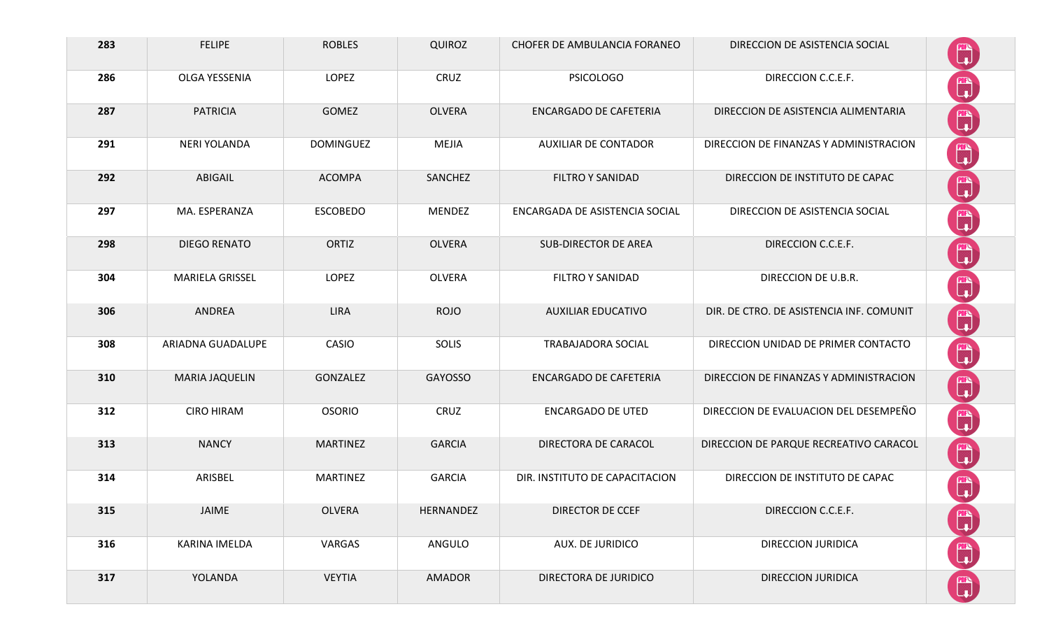| 283 | <b>FELIPE</b>          | <b>ROBLES</b>    | <b>QUIROZ</b> | CHOFER DE AMBULANCIA FORANEO   | DIRECCION DE ASISTENCIA SOCIAL           |                                                          |
|-----|------------------------|------------------|---------------|--------------------------------|------------------------------------------|----------------------------------------------------------|
| 286 | OLGA YESSENIA          | LOPEZ            | CRUZ          | <b>PSICOLOGO</b>               | DIRECCION C.C.E.F.                       | $\begin{bmatrix} 1 \\ 1 \end{bmatrix}$                   |
| 287 | <b>PATRICIA</b>        | <b>GOMEZ</b>     | <b>OLVERA</b> | <b>ENCARGADO DE CAFETERIA</b>  | DIRECCION DE ASISTENCIA ALIMENTARIA      | $\begin{bmatrix} \mathbf{m} \\ \mathbf{u} \end{bmatrix}$ |
| 291 | <b>NERI YOLANDA</b>    | <b>DOMINGUEZ</b> | <b>MEJIA</b>  | <b>AUXILIAR DE CONTADOR</b>    | DIRECCION DE FINANZAS Y ADMINISTRACION   | $\begin{bmatrix} 1 \\ 1 \end{bmatrix}$                   |
| 292 | ABIGAIL                | <b>ACOMPA</b>    | SANCHEZ       | <b>FILTRO Y SANIDAD</b>        | DIRECCION DE INSTITUTO DE CAPAC          | $\mathbb{C}$                                             |
| 297 | MA. ESPERANZA          | <b>ESCOBEDO</b>  | <b>MENDEZ</b> | ENCARGADA DE ASISTENCIA SOCIAL | DIRECCION DE ASISTENCIA SOCIAL           | $\mathbb{C}$                                             |
| 298 | <b>DIEGO RENATO</b>    | <b>ORTIZ</b>     | <b>OLVERA</b> | <b>SUB-DIRECTOR DE AREA</b>    | DIRECCION C.C.E.F.                       | $\begin{bmatrix} 1 \\ 1 \end{bmatrix}$                   |
| 304 | <b>MARIELA GRISSEL</b> | LOPEZ            | <b>OLVERA</b> | <b>FILTRO Y SANIDAD</b>        | DIRECCION DE U.B.R.                      | $\begin{bmatrix} 1 \\ 1 \end{bmatrix}$                   |
| 306 | ANDREA                 | <b>LIRA</b>      | <b>ROJO</b>   | <b>AUXILIAR EDUCATIVO</b>      | DIR. DE CTRO. DE ASISTENCIA INF. COMUNIT | $\begin{bmatrix} 1 \\ 1 \end{bmatrix}$                   |
| 308 | ARIADNA GUADALUPE      | CASIO            | SOLIS         | <b>TRABAJADORA SOCIAL</b>      | DIRECCION UNIDAD DE PRIMER CONTACTO      | $\begin{bmatrix} \mathbb{R} \\ \mathbb{R} \end{bmatrix}$ |
| 310 | <b>MARIA JAQUELIN</b>  | GONZALEZ         | GAYOSSO       | <b>ENCARGADO DE CAFETERIA</b>  | DIRECCION DE FINANZAS Y ADMINISTRACION   | $\mathbb{C}$                                             |
| 312 | <b>CIRO HIRAM</b>      | <b>OSORIO</b>    | CRUZ          | <b>ENCARGADO DE UTED</b>       | DIRECCION DE EVALUACION DEL DESEMPEÑO    | $\mathbb{C}$                                             |
| 313 | <b>NANCY</b>           | <b>MARTINEZ</b>  | <b>GARCIA</b> | DIRECTORA DE CARACOL           | DIRECCION DE PARQUE RECREATIVO CARACOL   | $\begin{bmatrix} \mathbf{m} \ \mathbf{u} \end{bmatrix}$  |
| 314 | ARISBEL                | <b>MARTINEZ</b>  | <b>GARCIA</b> | DIR. INSTITUTO DE CAPACITACION | DIRECCION DE INSTITUTO DE CAPAC          | T,                                                       |
| 315 | JAIME                  | <b>OLVERA</b>    | HERNANDEZ     | DIRECTOR DE CCEF               | DIRECCION C.C.E.F.                       | $\mathbb{C}$                                             |
| 316 | KARINA IMELDA          | VARGAS           | ANGULO        | AUX. DE JURIDICO               | <b>DIRECCION JURIDICA</b>                | $\begin{bmatrix} 1 \\ 1 \end{bmatrix}$                   |
| 317 | YOLANDA                | <b>VEYTIA</b>    | <b>AMADOR</b> | DIRECTORA DE JURIDICO          | DIRECCION JURIDICA                       | H                                                        |